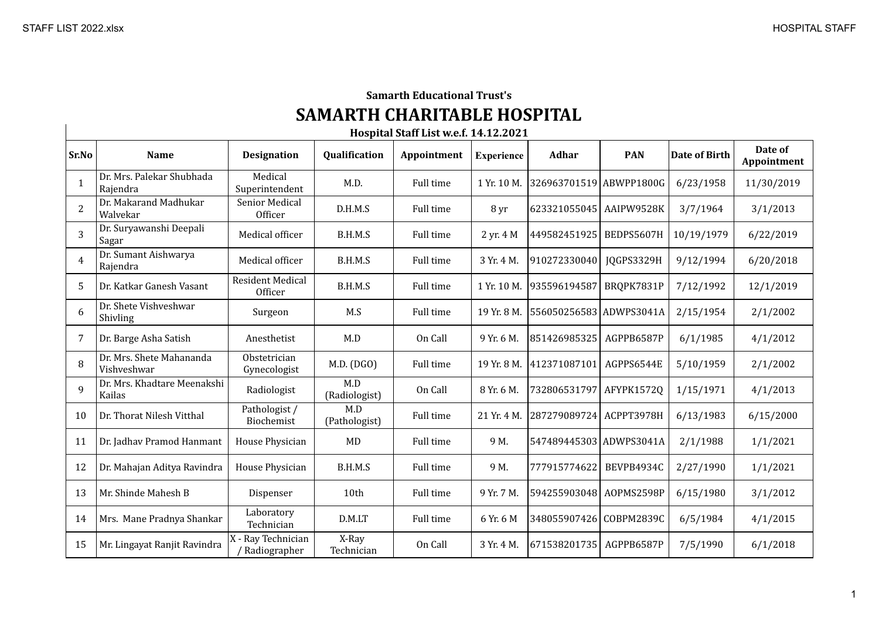## **Samarth Educational Trust's SAMARTH CHARITABLE HOSPITAL**

| Hospital Staff List w.e.f. 14.12.2021 |                                         |                                    |                      |                  |                   |                         |            |               |                        |
|---------------------------------------|-----------------------------------------|------------------------------------|----------------------|------------------|-------------------|-------------------------|------------|---------------|------------------------|
| Sr.No                                 | <b>Name</b>                             | <b>Designation</b>                 | Qualification        | Appointment      | <b>Experience</b> | Adhar                   | <b>PAN</b> | Date of Birth | Date of<br>Appointment |
| 1                                     | Dr. Mrs. Palekar Shubhada<br>Rajendra   | Medical<br>Superintendent          | M.D.                 | Full time        | 1 Yr. 10 M.       | 326963701519 ABWPP1800G |            | 6/23/1958     | 11/30/2019             |
| $\overline{2}$                        | Dr. Makarand Madhukar<br>Walvekar       | Senior Medical<br>Officer          | D.H.M.S              | Full time        | 8 yr              | 623321055045            | AAIPW9528K | 3/7/1964      | 3/1/2013               |
| 3                                     | Dr. Suryawanshi Deepali<br>Sagar        | Medical officer                    | B.H.M.S              | Full time        | 2 yr. 4 M         | 449582451925            | BEDPS5607H | 10/19/1979    | 6/22/2019              |
| $\overline{4}$                        | Dr. Sumant Aishwarya<br>Rajendra        | Medical officer                    | B.H.M.S              | Full time        | 3 Yr. 4 M.        | 910272330040            | JQGPS3329H | 9/12/1994     | 6/20/2018              |
| .5                                    | Dr. Katkar Ganesh Vasant                | <b>Resident Medical</b><br>Officer | B.H.M.S              | Full time        | 1 Yr. 10 M.       | 935596194587            | BRQPK7831P | 7/12/1992     | 12/1/2019              |
| 6                                     | Dr. Shete Vishveshwar<br>Shivling       | Surgeon                            | M.S                  | Full time        | 19 Yr. 8 M.       | 556050256583 ADWPS3041A |            | 2/15/1954     | 2/1/2002               |
|                                       | Dr. Barge Asha Satish                   | Anesthetist                        | M.D                  | On Call          | 9 Yr. 6 M.        | 851426985325            | AGPPB6587P | 6/1/1985      | 4/1/2012               |
| 8                                     | Dr. Mrs. Shete Mahananda<br>Vishveshwar | Obstetrician<br>Gynecologist       | M.D. (DGO)           | Full time        | 19 Yr. 8 M.       | 412371087101            | AGPPS6544E | 5/10/1959     | 2/1/2002               |
| 9                                     | Dr. Mrs. Khadtare Meenakshi<br>Kailas   | Radiologist                        | M.D<br>(Radiologist) | On Call          | 8 Yr. 6 M.        | 732806531797            | AFYPK1572Q | 1/15/1971     | 4/1/2013               |
| 10                                    | Dr. Thorat Nilesh Vitthal               | Pathologist /<br>Biochemist        | M.D<br>(Pathologist) | <b>Full time</b> | 21 Yr. 4 M.       | 287279089724 ACPPT3978H |            | 6/13/1983     | 6/15/2000              |
| 11                                    | Dr. Jadhav Pramod Hanmant               | House Physician                    | MD                   | <b>Full time</b> | 9 M.              | 547489445303 ADWPS3041A |            | 2/1/1988      | 1/1/2021               |
| 12                                    | Dr. Mahajan Aditya Ravindra             | House Physician                    | B.H.M.S              | <b>Full time</b> | 9 M.              | 777915774622            | BEVPB4934C | 2/27/1990     | 1/1/2021               |
| 13                                    | Mr. Shinde Mahesh B                     | Dispenser                          | 10th                 | Full time        | 9 Yr. 7 M.        | 594255903048            | AOPMS2598P | 6/15/1980     | 3/1/2012               |
| 14                                    | Mrs. Mane Pradnya Shankar               | Laboratory<br>Technician           | D.M.LT               | Full time        | 6 Yr. 6 M         | 348055907426            | COBPM2839C | 6/5/1984      | 4/1/2015               |
| 15                                    | Mr. Lingayat Ranjit Ravindra            | X - Ray Technician<br>Radiographer | X-Ray<br>Technician  | On Call          | 3 Yr. 4 M.        | 671538201735            | AGPPB6587P | 7/5/1990      | 6/1/2018               |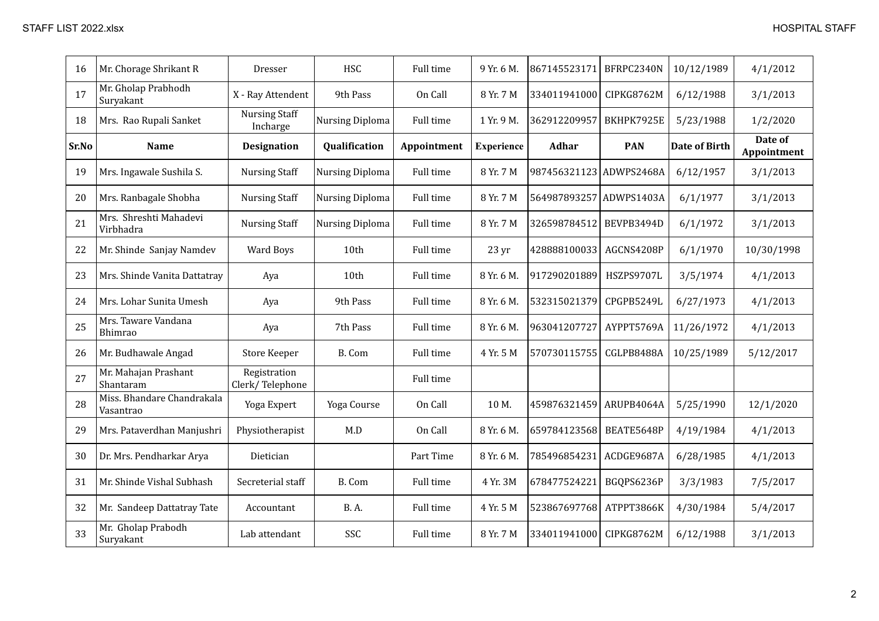| 16    | Mr. Chorage Shrikant R                  | Dresser                          | <b>HSC</b>      | Full time   | 9 Yr. 6 M.        | 867145523171 | BFRPC2340N | 10/12/1989           | 4/1/2012               |
|-------|-----------------------------------------|----------------------------------|-----------------|-------------|-------------------|--------------|------------|----------------------|------------------------|
| 17    | Mr. Gholap Prabhodh<br>Suryakant        | X - Ray Attendent                | 9th Pass        | On Call     | 8 Yr. 7 M         | 334011941000 | CIPKG8762M | 6/12/1988            | 3/1/2013               |
| 18    | Mrs. Rao Rupali Sanket                  | <b>Nursing Staff</b><br>Incharge | Nursing Diploma | Full time   | 1 Yr. 9 M.        | 362912209957 | BKHPK7925E | 5/23/1988            | 1/2/2020               |
| Sr.No | Name                                    | <b>Designation</b>               | Qualification   | Appointment | <b>Experience</b> | <b>Adhar</b> | <b>PAN</b> | <b>Date of Birth</b> | Date of<br>Appointment |
| 19    | Mrs. Ingawale Sushila S.                | <b>Nursing Staff</b>             | Nursing Diploma | Full time   | 8 Yr. 7 M         | 987456321123 | ADWPS2468A | 6/12/1957            | 3/1/2013               |
| 20    | Mrs. Ranbagale Shobha                   | <b>Nursing Staff</b>             | Nursing Diploma | Full time   | 8 Yr. 7 M         | 564987893257 | ADWPS1403A | 6/1/1977             | 3/1/2013               |
| 21    | Mrs. Shreshti Mahadevi<br>Virbhadra     | <b>Nursing Staff</b>             | Nursing Diploma | Full time   | 8 Yr. 7 M         | 326598784512 | BEVPB3494D | 6/1/1972             | 3/1/2013               |
| 22    | Mr. Shinde Sanjay Namdev                | Ward Boys                        | 10th            | Full time   | 23 yr             | 428888100033 | AGCNS4208P | 6/1/1970             | 10/30/1998             |
| 23    | Mrs. Shinde Vanita Dattatray            | Aya                              | 10th            | Full time   | 8 Yr. 6 M.        | 917290201889 | HSZPS9707L | 3/5/1974             | 4/1/2013               |
| 24    | Mrs. Lohar Sunita Umesh                 | Aya                              | 9th Pass        | Full time   | 8 Yr. 6 M.        | 532315021379 | CPGPB5249L | 6/27/1973            | 4/1/2013               |
| 25    | Mrs. Taware Vandana<br>Bhimrao          | Aya                              | 7th Pass        | Full time   | 8 Yr. 6 M.        | 963041207727 | AYPPT5769A | 11/26/1972           | 4/1/2013               |
| 26    | Mr. Budhawale Angad                     | <b>Store Keeper</b>              | B. Com          | Full time   | 4 Yr. 5 M         | 570730115755 | CGLPB8488A | 10/25/1989           | 5/12/2017              |
| 27    | Mr. Mahajan Prashant<br>Shantaram       | Registration<br>Clerk/Telephone  |                 | Full time   |                   |              |            |                      |                        |
| 28    | Miss. Bhandare Chandrakala<br>Vasantrao | Yoga Expert                      | Yoga Course     | On Call     | 10 M.             | 459876321459 | ARUPB4064A | 5/25/1990            | 12/1/2020              |
| 29    | Mrs. Pataverdhan Manjushri              | Physiotherapist                  | M.D             | On Call     | 8 Yr. 6 M.        | 659784123568 | BEATE5648P | 4/19/1984            | 4/1/2013               |
| 30    | Dr. Mrs. Pendharkar Arya                | Dietician                        |                 | Part Time   | 8 Yr. 6 M.        | 785496854231 | ACDGE9687A | 6/28/1985            | 4/1/2013               |
| 31    | Mr. Shinde Vishal Subhash               | Secreterial staff                | B. Com          | Full time   | 4 Yr. 3M          | 678477524221 | BGQPS6236P | 3/3/1983             | 7/5/2017               |
| 32    | Mr. Sandeep Dattatray Tate              | Accountant                       | <b>B.A.</b>     | Full time   | 4 Yr. 5 M         | 523867697768 | ATPPT3866K | 4/30/1984            | 5/4/2017               |
| 33    | Mr. Gholap Prabodh<br>Suryakant         | Lab attendant                    | SSC             | Full time   | 8 Yr. 7 M         | 334011941000 | CIPKG8762M | 6/12/1988            | 3/1/2013               |